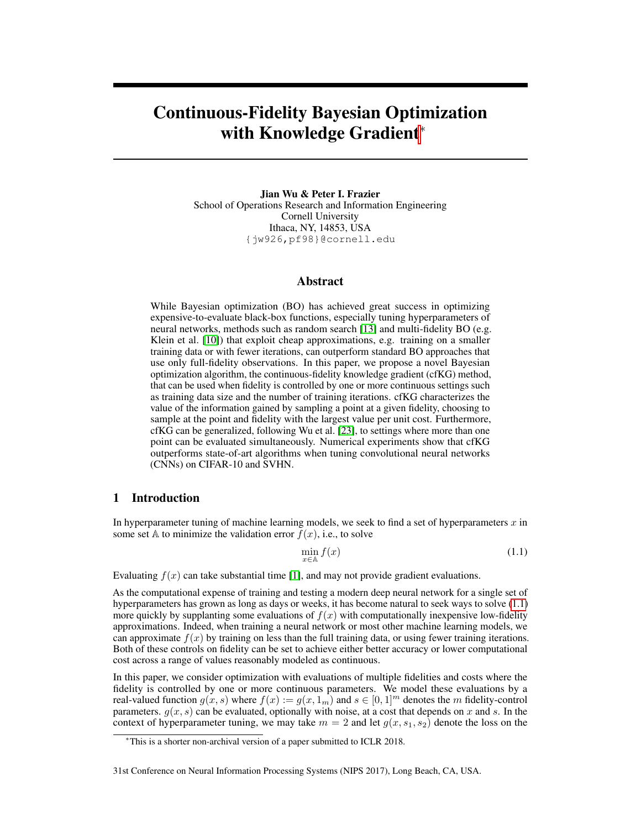# Continuous-Fidelity Bayesian Optimization with Knowledge Gradient<sup>∗</sup>

Jian Wu & Peter I. Frazier School of Operations Research and Information Engineering Cornell University Ithaca, NY, 14853, USA {jw926,pf98}@cornell.edu

# Abstract

While Bayesian optimization (BO) has achieved great success in optimizing expensive-to-evaluate black-box functions, especially tuning hyperparameters of neural networks, methods such as random search [\[13\]](#page-4-0) and multi-fidelity BO (e.g. Klein et al. [\[10\]](#page-4-1)) that exploit cheap approximations, e.g. training on a smaller training data or with fewer iterations, can outperform standard BO approaches that use only full-fidelity observations. In this paper, we propose a novel Bayesian optimization algorithm, the continuous-fidelity knowledge gradient (cfKG) method, that can be used when fidelity is controlled by one or more continuous settings such as training data size and the number of training iterations. cfKG characterizes the value of the information gained by sampling a point at a given fidelity, choosing to sample at the point and fidelity with the largest value per unit cost. Furthermore, cfKG can be generalized, following Wu et al. [\[23\]](#page-5-0), to settings where more than one point can be evaluated simultaneously. Numerical experiments show that cfKG outperforms state-of-art algorithms when tuning convolutional neural networks (CNNs) on CIFAR-10 and SVHN.

# 1 Introduction

In hyperparameter tuning of machine learning models, we seek to find a set of hyperparameters  $x$  in some set A to minimize the validation error  $f(x)$ , i.e., to solve

<span id="page-0-0"></span>
$$
\min_{x \in \mathbb{A}} f(x) \tag{1.1}
$$

Evaluating  $f(x)$  can take substantial time [\[1\]](#page-4-2), and may not provide gradient evaluations.

As the computational expense of training and testing a modern deep neural network for a single set of hyperparameters has grown as long as days or weeks, it has become natural to seek ways to solve [\(1.1\)](#page-0-0) more quickly by supplanting some evaluations of  $f(x)$  with computationally inexpensive low-fidelity approximations. Indeed, when training a neural network or most other machine learning models, we can approximate  $f(x)$  by training on less than the full training data, or using fewer training iterations. Both of these controls on fidelity can be set to achieve either better accuracy or lower computational cost across a range of values reasonably modeled as continuous.

In this paper, we consider optimization with evaluations of multiple fidelities and costs where the fidelity is controlled by one or more continuous parameters. We model these evaluations by a real-valued function  $g(x, s)$  where  $f(x) := g(x, 1_m)$  and  $s \in [0, 1]^m$  denotes the m fidelity-control parameters.  $g(x, s)$  can be evaluated, optionally with noise, at a cost that depends on x and s. In the context of hyperparameter tuning, we may take  $m = 2$  and let  $g(x, s_1, s_2)$  denote the loss on the

#### 31st Conference on Neural Information Processing Systems (NIPS 2017), Long Beach, CA, USA.

<sup>∗</sup>This is a shorter non-archival version of a paper submitted to ICLR 2018.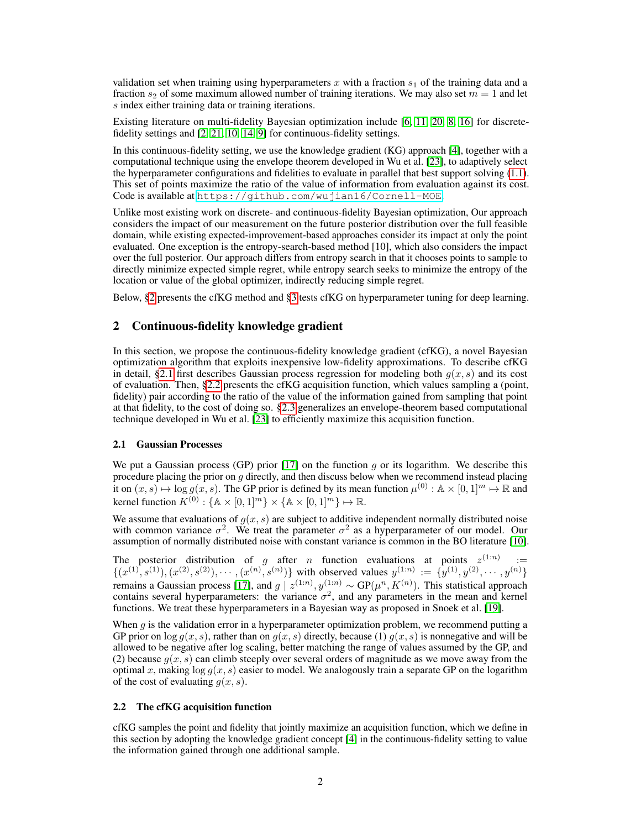validation set when training using hyperparameters x with a fraction  $s<sub>1</sub>$  of the training data and a fraction  $s_2$  of some maximum allowed number of training iterations. We may also set  $m = 1$  and let s index either training data or training iterations.

Existing literature on multi-fidelity Bayesian optimization include [\[6,](#page-4-3) [11,](#page-4-4) [20,](#page-5-1) [8,](#page-4-5) [16\]](#page-4-6) for discretefidelity settings and [\[2,](#page-4-7) [21,](#page-5-2) [10,](#page-4-1) [14,](#page-4-8) [9\]](#page-4-9) for continuous-fidelity settings.

In this continuous-fidelity setting, we use the knowledge gradient (KG) approach [\[4\]](#page-4-10), together with a computational technique using the envelope theorem developed in Wu et al. [\[23\]](#page-5-0), to adaptively select the hyperparameter configurations and fidelities to evaluate in parallel that best support solving [\(1.1\)](#page-0-0). This set of points maximize the ratio of the value of information from evaluation against its cost. Code is available at <https://github.com/wujian16/Cornell-MOE>.

Unlike most existing work on discrete- and continuous-fidelity Bayesian optimization, Our approach considers the impact of our measurement on the future posterior distribution over the full feasible domain, while existing expected-improvement-based approaches consider its impact at only the point evaluated. One exception is the entropy-search-based method [10], which also considers the impact over the full posterior. Our approach differs from entropy search in that it chooses points to sample to directly minimize expected simple regret, while entropy search seeks to minimize the entropy of the location or value of the global optimizer, indirectly reducing simple regret.

Below, [§2](#page-1-0) presents the cfKG method and [§3](#page-3-0) tests cfKG on hyperparameter tuning for deep learning.

# <span id="page-1-0"></span>2 Continuous-fidelity knowledge gradient

In this section, we propose the continuous-fidelity knowledge gradient (cfKG), a novel Bayesian optimization algorithm that exploits inexpensive low-fidelity approximations. To describe cfKG in detail, [§2.1](#page-1-1) first describes Gaussian process regression for modeling both  $g(x, s)$  and its cost of evaluation. Then, [§2.2](#page-1-2) presents the cfKG acquisition function, which values sampling a (point, fidelity) pair according to the ratio of the value of the information gained from sampling that point at that fidelity, to the cost of doing so. [§2.3](#page-2-0) generalizes an envelope-theorem based computational technique developed in Wu et al. [\[23\]](#page-5-0) to efficiently maximize this acquisition function.

### <span id="page-1-1"></span>2.1 Gaussian Processes

We put a Gaussian process (GP) prior  $[17]$  on the function g or its logarithm. We describe this procedure placing the prior on  $g$  directly, and then discuss below when we recommend instead placing it on  $(x, s) \mapsto \log g(x, s)$ . The GP prior is defined by its mean function  $\mu^{(0)} : A \times [0, 1]^m \mapsto \mathbb{R}$  and kernel function  $K^{(0)}$ : { $\mathbb{A} \times [0,1]^m$ }  $\times$  { $\mathbb{A} \times [0,1]^m$ }  $\mapsto \mathbb{R}$ .

We assume that evaluations of  $g(x, s)$  are subject to additive independent normally distributed noise with common variance  $\sigma^2$ . We treat the parameter  $\sigma^2$  as a hyperparameter of our model. Our assumption of normally distributed noise with constant variance is common in the BO literature [\[10\]](#page-4-1).

The posterior distribution of g after n function evaluations at points  $z^{(1:n)}$ :=  $\{(x^{(1)}, s^{(1)}), (x^{(2)}, s^{(2)}), \cdots, (x^{(n)}, s^{(n)})\}$  with observed values  $y^{(1:n)} := \{y^{(1)}, y^{(2)}, \cdots, y^{(n)}\}$ remains a Gaussian process [\[17\]](#page-4-11), and  $g \mid z^{(1:n)}, y^{(1:n)} \sim GP(\mu^n, K^{(n)})$ . This statistical approach contains several hyperparameters: the variance  $\sigma^2$ , and any parameters in the mean and kernel functions. We treat these hyperparameters in a Bayesian way as proposed in Snoek et al. [\[19\]](#page-5-3).

When  $q$  is the validation error in a hyperparameter optimization problem, we recommend putting a GP prior on  $\log g(x, s)$ , rather than on  $g(x, s)$  directly, because (1)  $g(x, s)$  is nonnegative and will be allowed to be negative after log scaling, better matching the range of values assumed by the GP, and (2) because  $g(x, s)$  can climb steeply over several orders of magnitude as we move away from the optimal x, making  $\log g(x, s)$  easier to model. We analogously train a separate GP on the logarithm of the cost of evaluating  $g(x, s)$ .

#### <span id="page-1-2"></span>2.2 The cfKG acquisition function

cfKG samples the point and fidelity that jointly maximize an acquisition function, which we define in this section by adopting the knowledge gradient concept [\[4\]](#page-4-10) in the continuous-fidelity setting to value the information gained through one additional sample.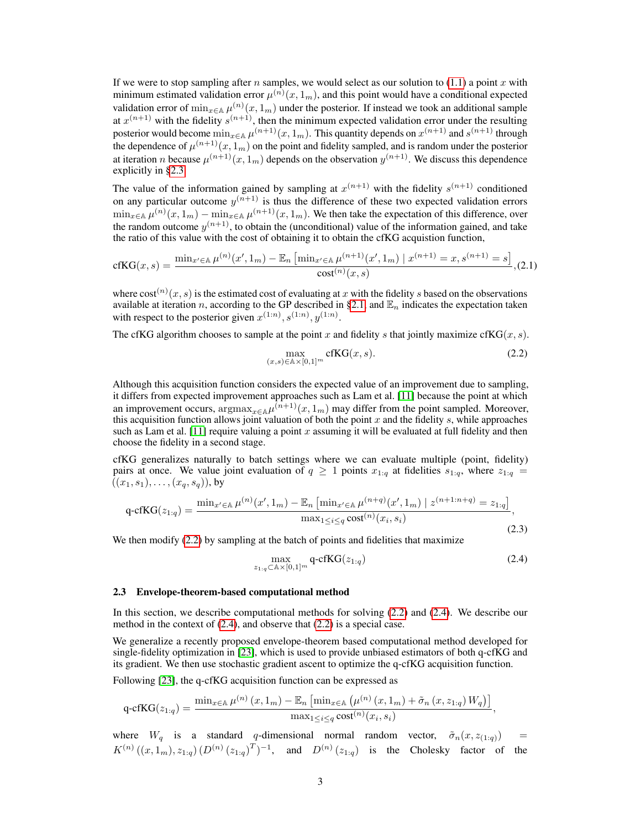If we were to stop sampling after n samples, we would select as our solution to  $(1.1)$  a point x with minimum estimated validation error  $\mu^{(n)}(x,1_m)$ , and this point would have a conditional expected validation error of  $\min_{x \in A} \mu^{(n)}(x, 1_m)$  under the posterior. If instead we took an additional sample at  $x^{(n+1)}$  with the fidelity  $s^{(n+1)}$ , then the minimum expected validation error under the resulting posterior would become  $\min_{x \in A} \mu^{(n+1)}(x, 1_m)$ . This quantity depends on  $x^{(n+1)}$  and  $s^{(n+1)}$  through the dependence of  $\mu^{(n+1)}(x,1_m)$  on the point and fidelity sampled, and is random under the posterior at iteration *n* because  $\mu^{(n+1)}(x,1_m)$  depends on the observation  $y^{(n+1)}$ . We discuss this dependence explicitly in [§2.3.](#page-2-0)

The value of the information gained by sampling at  $x^{(n+1)}$  with the fidelity  $s^{(n+1)}$  conditioned on any particular outcome  $y^{(n+1)}$  is thus the difference of these two expected validation errors  $\min_{x \in A} \mu^{(n)}(x, 1_m) - \min_{x \in A} \mu^{(n+1)}(x, 1_m)$ . We then take the expectation of this difference, over the random outcome  $y^{(n+1)}$ , to obtain the (unconditional) value of the information gained, and take the ratio of this value with the cost of obtaining it to obtain the cfKG acquistion function,

$$
\mathrm{cfKG}(x,s) = \frac{\min_{x' \in \mathbb{A}} \mu^{(n)}(x', 1_m) - \mathbb{E}_n \left[ \min_{x' \in \mathbb{A}} \mu^{(n+1)}(x', 1_m) \mid x^{(n+1)} = x, s^{(n+1)} = s \right]}{\mathrm{cost}^{(n)}(x,s)}, (2.1)
$$

where  $\cot^{(n)}(x, s)$  is the estimated cost of evaluating at x with the fidelity s based on the observations available at iteration n, according to the GP described in [§2.1,](#page-1-1) and  $\mathbb{E}_n$  indicates the expectation taken with respect to the posterior given  $x^{(1:n)}$ ,  $s^{(1:n)}$ ,  $y^{(1:n)}$ .

The cfKG algorithm chooses to sample at the point x and fidelity s that jointly maximize cfKG(x, s).

<span id="page-2-1"></span>
$$
\max_{(x,s)\in\mathbb{A}\times[0,1]^m} \text{cfKG}(x,s). \tag{2.2}
$$

Although this acquisition function considers the expected value of an improvement due to sampling, it differs from expected improvement approaches such as Lam et al. [\[11\]](#page-4-4) because the point at which an improvement occurs,  $\operatorname{argmax}_{x \in A} \mu^{(n+1)}(x, 1_m)$  may differ from the point sampled. Moreover, this acquisition function allows joint valuation of both the point x and the fidelity s, while approaches such as Lam et al. [\[11\]](#page-4-4) require valuing a point x assuming it will be evaluated at full fidelity and then choose the fidelity in a second stage.

cfKG generalizes naturally to batch settings where we can evaluate multiple (point, fidelity) pairs at once. We value joint evaluation of  $q \ge 1$  points  $x_{1:q}$  at fidelities  $s_{1:q}$ , where  $z_{1:q}$  $((x_1, s_1), \ldots, (x_q, s_q))$ , by

$$
q\text{-cfKG}(z_{1:q}) = \frac{\min_{x' \in \mathbb{A}} \mu^{(n)}(x', 1_m) - \mathbb{E}_n \left[ \min_{x' \in \mathbb{A}} \mu^{(n+q)}(x', 1_m) \mid z^{(n+1:n+q)} = z_{1:q} \right]}{\max_{1 \le i \le q} \text{cost}^{(n)}(x_i, s_i)},
$$
\n(2.3)

We then modify  $(2.2)$  by sampling at the batch of points and fidelities that maximize

<span id="page-2-2"></span>
$$
\max_{z_{1:q} \subset \mathbb{A} \times [0,1]^m} \mathsf{q\text{-}cfKG}(z_{1:q})
$$
\n(2.4)

#### <span id="page-2-0"></span>2.3 Envelope-theorem-based computational method

In this section, we describe computational methods for solving [\(2.2\)](#page-2-1) and [\(2.4\)](#page-2-2). We describe our method in the context of [\(2.4\)](#page-2-2), and observe that [\(2.2\)](#page-2-1) is a special case.

We generalize a recently proposed envelope-theorem based computational method developed for single-fidelity optimization in [\[23\]](#page-5-0), which is used to provide unbiased estimators of both q-cfKG and its gradient. We then use stochastic gradient ascent to optimize the q-cfKG acquisition function.

Following [\[23\]](#page-5-0), the q-cfKG acquisition function can be expressed as

$$
\mathrm{q\text{-}cfKG}(z_{1:q}) = \frac{\min_{x \in \mathbb{A}} \mu^{(n)}\left(x, 1_m\right) - \mathbb{E}_n\left[\min_{x \in \mathbb{A}} \left(\mu^{(n)}\left(x, 1_m\right) + \tilde{\sigma}_n\left(x, z_{1:q}\right) W_q\right)\right]}{\max_{1 \leq i \leq q} \mathrm{cost}^{(n)}(x_i, s_i)},
$$

where  $W_q$  is a standard q-dimensional normal random vector,  $\tilde{\sigma}_n(x, z_{(1:q)})$  =  $K^{(n)}((x,1_m),z_{1:q})(D^{(n)}(z_{1:q})^T)^{-1}$ , and  $D^{(n)}(z_{1:q})$  is the Cholesky factor of the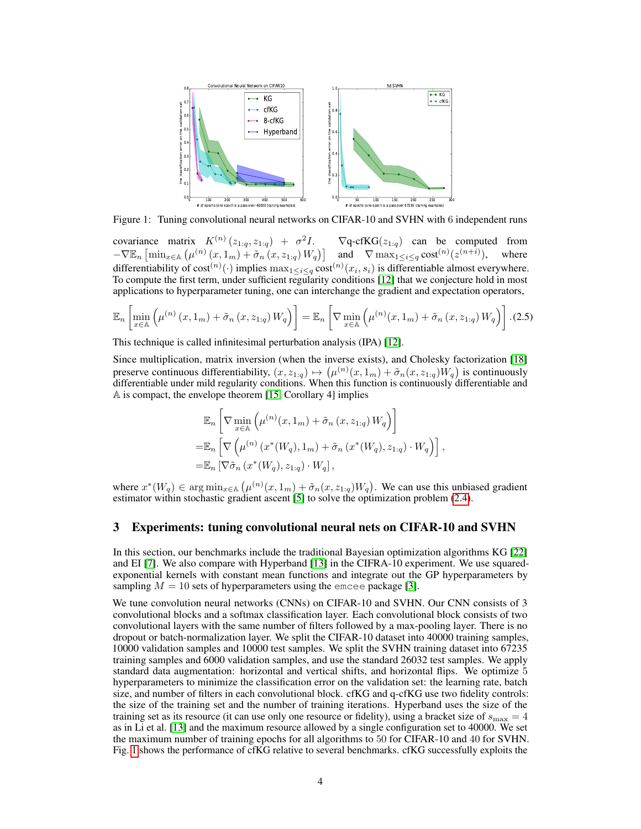

<span id="page-3-1"></span>Figure 1: Tuning convolutional neural networks on CIFAR-10 and SVHN with 6 independent runs

covariance matrix  $K^{(n)}(z_{1:q}, z_{1:q}) + \sigma^2$  $\nabla$ q-cfKG( $z_{1:q}$ ) can be computed from  $-\nabla \mathbb{E}_n \left[ \min_{x \in \mathbb{A}} \left( \mu^{(n)}(x, 1_m) + \tilde{\sigma}_n(x, z_{1:q}) W_q \right) \right]$  and  $\nabla \max_{1 \leq i \leq q} \text{cost}^{(n)}(z^{(n+i)})$ ), where differentiability of  $\text{cost}^{(n)}(\cdot)$  implies  $\max_{1 \leq i \leq q} \text{cost}^{(n)}(x_i, s_i)$  is differentiable almost everywhere. To compute the first term, under sufficient regularity conditions [\[12\]](#page-4-12) that we conjecture hold in most applications to hyperparameter tuning, one can interchange the gradient and expectation operators,

$$
\mathbb{E}_n \left[ \min_{x \in \mathbb{A}} \left( \mu^{(n)} \left( x, 1_m \right) + \tilde{\sigma}_n \left( x, z_{1:q} \right) W_q \right) \right] = \mathbb{E}_n \left[ \nabla \min_{x \in \mathbb{A}} \left( \mu^{(n)} (x, 1_m) + \tilde{\sigma}_n \left( x, z_{1:q} \right) W_q \right) \right].
$$
 (2.5)

This technique is called infinitesimal perturbation analysis (IPA) [\[12\]](#page-4-12).

Since multiplication, matrix inversion (when the inverse exists), and Cholesky factorization [\[18\]](#page-4-13) preserve continuous differentiability,  $(x, z_{1:q}) \mapsto (\mu^{(n)}(x, 1_m) + \tilde{\sigma}_n(x, z_{1:q})W_q)$  is continuously differentiable under mild regularity conditions. When this function is continuously differentiable and A is compact, the envelope theorem [\[15,](#page-4-14) Corollary 4] implies

$$
\mathbb{E}_{n}\left[\nabla \min_{x \in \mathbb{A}}\left(\mu^{(n)}(x,1_{m}) + \tilde{\sigma}_{n}(x,z_{1:q})W_{q}\right)\right]
$$
  
\n
$$
= \mathbb{E}_{n}\left[\nabla \left(\mu^{(n)}(x^{*}(W_{q}),1_{m}) + \tilde{\sigma}_{n}(x^{*}(W_{q}),z_{1:q})\cdot W_{q}\right)\right],
$$
  
\n
$$
= \mathbb{E}_{n}\left[\nabla \tilde{\sigma}_{n}(x^{*}(W_{q}),z_{1:q})\cdot W_{q}\right],
$$

where  $x^*(W_q) \in \arg\min_{x \in \mathbb{A}} (\mu^{(n)}(x, 1_m) + \tilde{\sigma}_n(x, z_{1:q})W_q)$ . We can use this unbiased gradient estimator within stochastic gradient ascent [\[5\]](#page-4-15) to solve the optimization problem [\(2.4\)](#page-2-2).

# <span id="page-3-0"></span>3 Experiments: tuning convolutional neural nets on CIFAR-10 and SVHN

In this section, our benchmarks include the traditional Bayesian optimization algorithms KG [\[22\]](#page-5-4) and EI [\[7\]](#page-4-16). We also compare with Hyperband [\[13\]](#page-4-0) in the CIFRA-10 experiment. We use squaredexponential kernels with constant mean functions and integrate out the GP hyperparameters by sampling  $M = 10$  sets of hyperparameters using the emcee package [\[3\]](#page-4-17).

We tune convolution neural networks (CNNs) on CIFAR-10 and SVHN. Our CNN consists of 3 convolutional blocks and a softmax classification layer. Each convolutional block consists of two convolutional layers with the same number of filters followed by a max-pooling layer. There is no dropout or batch-normalization layer. We split the CIFAR-10 dataset into 40000 training samples, 10000 validation samples and 10000 test samples. We split the SVHN training dataset into 67235 training samples and 6000 validation samples, and use the standard 26032 test samples. We apply standard data augmentation: horizontal and vertical shifts, and horizontal flips. We optimize 5 hyperparameters to minimize the classification error on the validation set: the learning rate, batch size, and number of filters in each convolutional block. cfKG and q-cfKG use two fidelity controls: the size of the training set and the number of training iterations. Hyperband uses the size of the training set as its resource (it can use only one resource or fidelity), using a bracket size of  $s_{\text{max}} = 4$ as in Li et al. [\[13\]](#page-4-0) and the maximum resource allowed by a single configuration set to 40000. We set the maximum number of training epochs for all algorithms to 50 for CIFAR-10 and 40 for SVHN. Fig. [1](#page-3-1) shows the performance of cfKG relative to several benchmarks. cfKG successfully exploits the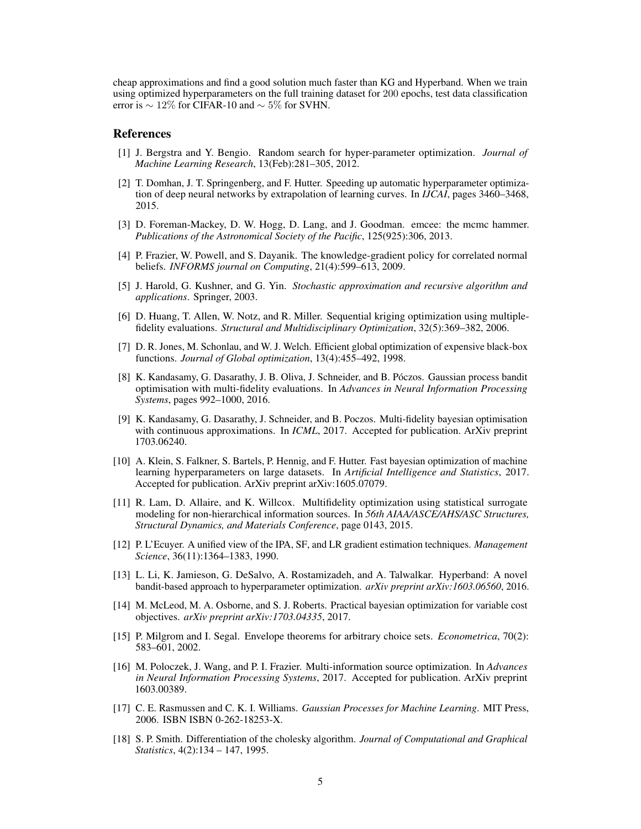cheap approximations and find a good solution much faster than KG and Hyperband. When we train using optimized hyperparameters on the full training dataset for 200 epochs, test data classification error is  $\sim 12\%$  for CIFAR-10 and  $\sim 5\%$  for SVHN.

# References

- <span id="page-4-2"></span>[1] J. Bergstra and Y. Bengio. Random search for hyper-parameter optimization. *Journal of Machine Learning Research*, 13(Feb):281–305, 2012.
- <span id="page-4-7"></span>[2] T. Domhan, J. T. Springenberg, and F. Hutter. Speeding up automatic hyperparameter optimization of deep neural networks by extrapolation of learning curves. In *IJCAI*, pages 3460–3468, 2015.
- <span id="page-4-17"></span>[3] D. Foreman-Mackey, D. W. Hogg, D. Lang, and J. Goodman. emcee: the mcmc hammer. *Publications of the Astronomical Society of the Pacific*, 125(925):306, 2013.
- <span id="page-4-10"></span>[4] P. Frazier, W. Powell, and S. Dayanik. The knowledge-gradient policy for correlated normal beliefs. *INFORMS journal on Computing*, 21(4):599–613, 2009.
- <span id="page-4-15"></span>[5] J. Harold, G. Kushner, and G. Yin. *Stochastic approximation and recursive algorithm and applications*. Springer, 2003.
- <span id="page-4-3"></span>[6] D. Huang, T. Allen, W. Notz, and R. Miller. Sequential kriging optimization using multiplefidelity evaluations. *Structural and Multidisciplinary Optimization*, 32(5):369–382, 2006.
- <span id="page-4-16"></span>[7] D. R. Jones, M. Schonlau, and W. J. Welch. Efficient global optimization of expensive black-box functions. *Journal of Global optimization*, 13(4):455–492, 1998.
- <span id="page-4-5"></span>[8] K. Kandasamy, G. Dasarathy, J. B. Oliva, J. Schneider, and B. Póczos. Gaussian process bandit optimisation with multi-fidelity evaluations. In *Advances in Neural Information Processing Systems*, pages 992–1000, 2016.
- <span id="page-4-9"></span>[9] K. Kandasamy, G. Dasarathy, J. Schneider, and B. Poczos. Multi-fidelity bayesian optimisation with continuous approximations. In *ICML*, 2017. Accepted for publication. ArXiv preprint 1703.06240.
- <span id="page-4-1"></span>[10] A. Klein, S. Falkner, S. Bartels, P. Hennig, and F. Hutter. Fast bayesian optimization of machine learning hyperparameters on large datasets. In *Artificial Intelligence and Statistics*, 2017. Accepted for publication. ArXiv preprint arXiv:1605.07079.
- <span id="page-4-4"></span>[11] R. Lam, D. Allaire, and K. Willcox. Multifidelity optimization using statistical surrogate modeling for non-hierarchical information sources. In *56th AIAA/ASCE/AHS/ASC Structures, Structural Dynamics, and Materials Conference*, page 0143, 2015.
- <span id="page-4-12"></span>[12] P. L'Ecuyer. A unified view of the IPA, SF, and LR gradient estimation techniques. *Management Science*, 36(11):1364–1383, 1990.
- <span id="page-4-0"></span>[13] L. Li, K. Jamieson, G. DeSalvo, A. Rostamizadeh, and A. Talwalkar. Hyperband: A novel bandit-based approach to hyperparameter optimization. *arXiv preprint arXiv:1603.06560*, 2016.
- <span id="page-4-8"></span>[14] M. McLeod, M. A. Osborne, and S. J. Roberts. Practical bayesian optimization for variable cost objectives. *arXiv preprint arXiv:1703.04335*, 2017.
- <span id="page-4-14"></span>[15] P. Milgrom and I. Segal. Envelope theorems for arbitrary choice sets. *Econometrica*, 70(2): 583–601, 2002.
- <span id="page-4-6"></span>[16] M. Poloczek, J. Wang, and P. I. Frazier. Multi-information source optimization. In *Advances in Neural Information Processing Systems*, 2017. Accepted for publication. ArXiv preprint 1603.00389.
- <span id="page-4-11"></span>[17] C. E. Rasmussen and C. K. I. Williams. *Gaussian Processes for Machine Learning*. MIT Press, 2006. ISBN ISBN 0-262-18253-X.
- <span id="page-4-13"></span>[18] S. P. Smith. Differentiation of the cholesky algorithm. *Journal of Computational and Graphical Statistics*, 4(2):134 – 147, 1995.